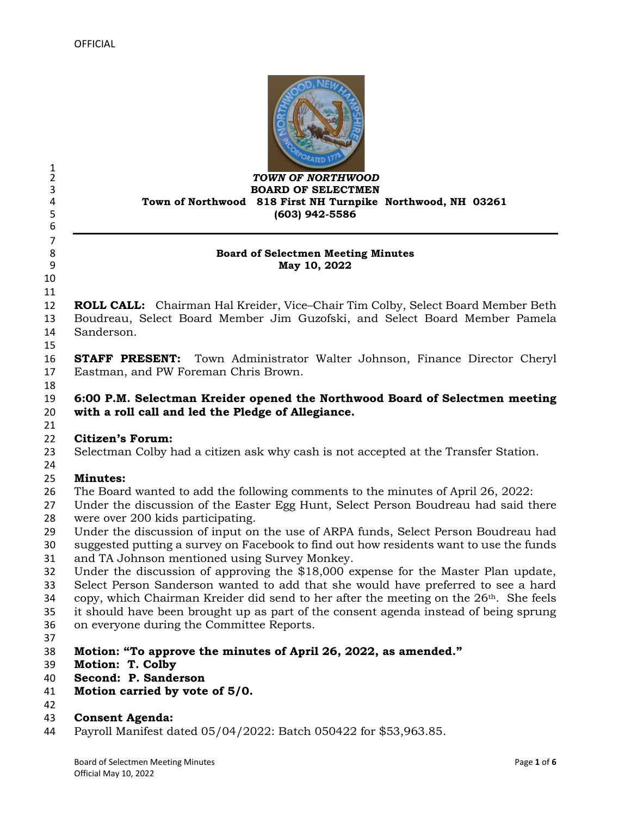

### *TOWN OF NORTHWOOD* **BOARD OF SELECTMEN Town of Northwood 818 First NH Turnpike Northwood, NH 03261 (603) 942-5586**

### **Board of Selectmen Meeting Minutes May 10, 2022**

 

 $\frac{1}{2}$ 

 

 **ROLL CALL:** Chairman Hal Kreider, Vice–Chair Tim Colby, Select Board Member Beth Boudreau, Select Board Member Jim Guzofski, and Select Board Member Pamela Sanderson.

 **STAFF PRESENT:** Town Administrator Walter Johnson, Finance Director Cheryl Eastman, and PW Foreman Chris Brown.

- **6:00 P.M. Selectman Kreider opened the Northwood Board of Selectmen meeting with a roll call and led the Pledge of Allegiance.**
- 

# **Citizen's Forum:**

- Selectman Colby had a citizen ask why cash is not accepted at the Transfer Station.
- 

# **Minutes:**

- The Board wanted to add the following comments to the minutes of April 26, 2022:
- Under the discussion of the Easter Egg Hunt, Select Person Boudreau had said there were over 200 kids participating.
- Under the discussion of input on the use of ARPA funds, Select Person Boudreau had
- suggested putting a survey on Facebook to find out how residents want to use the funds and TA Johnson mentioned using Survey Monkey.
- Under the discussion of approving the \$18,000 expense for the Master Plan update,
- Select Person Sanderson wanted to add that she would have preferred to see a hard
- 34 copy, which Chairman Kreider did send to her after the meeting on the  $26<sup>th</sup>$ . She feels
- it should have been brought up as part of the consent agenda instead of being sprung
- on everyone during the Committee Reports.
- 
- **Motion: "To approve the minutes of April 26, 2022, as amended."**
- **Motion: T. Colby**
- **Second: P. Sanderson**
- **Motion carried by vote of 5/0.**
- 

### **Consent Agenda:**

Payroll Manifest dated 05/04/2022: Batch 050422 for \$53,963.85.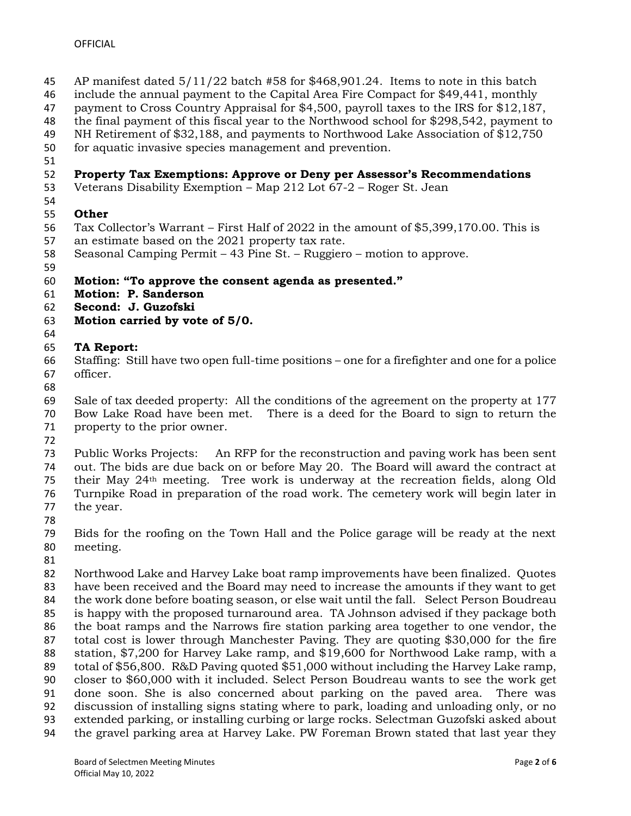- AP manifest dated 5/11/22 batch #58 for \$468,901.24. Items to note in this batch
- include the annual payment to the Capital Area Fire Compact for \$49,441, monthly
- payment to Cross Country Appraisal for \$4,500, payroll taxes to the IRS for \$12,187,
- the final payment of this fiscal year to the Northwood school for \$298,542, payment to
- NH Retirement of \$32,188, and payments to Northwood Lake Association of \$12,750
- for aquatic invasive species management and prevention.
- 

## **Property Tax Exemptions: Approve or Deny per Assessor's Recommendations**

- Veterans Disability Exemption Map 212 Lot 67-2 Roger St. Jean
- **Other**
- Tax Collector's Warrant First Half of 2022 in the amount of \$5,399,170.00. This is
- an estimate based on the 2021 property tax rate.
- Seasonal Camping Permit 43 Pine St. Ruggiero motion to approve.
- 

## **Motion: "To approve the consent agenda as presented."**

- **Motion: P. Sanderson**
- **Second: J. Guzofski**
- **Motion carried by vote of 5/0.**
- 

## **TA Report:**

- Staffing: Still have two open full-time positions one for a firefighter and one for a police officer.
- 

 Sale of tax deeded property: All the conditions of the agreement on the property at 177 Bow Lake Road have been met. There is a deed for the Board to sign to return the

property to the prior owner.

 Public Works Projects: An RFP for the reconstruction and paving work has been sent out. The bids are due back on or before May 20. The Board will award the contract at their May 24th meeting. Tree work is underway at the recreation fields, along Old Turnpike Road in preparation of the road work. The cemetery work will begin later in the year.

 Bids for the roofing on the Town Hall and the Police garage will be ready at the next meeting.

 Northwood Lake and Harvey Lake boat ramp improvements have been finalized. Quotes have been received and the Board may need to increase the amounts if they want to get the work done before boating season, or else wait until the fall. Select Person Boudreau is happy with the proposed turnaround area. TA Johnson advised if they package both the boat ramps and the Narrows fire station parking area together to one vendor, the total cost is lower through Manchester Paving. They are quoting \$30,000 for the fire station, \$7,200 for Harvey Lake ramp, and \$19,600 for Northwood Lake ramp, with a total of \$56,800. R&D Paving quoted \$51,000 without including the Harvey Lake ramp, closer to \$60,000 with it included. Select Person Boudreau wants to see the work get done soon. She is also concerned about parking on the paved area. There was discussion of installing signs stating where to park, loading and unloading only, or no extended parking, or installing curbing or large rocks. Selectman Guzofski asked about the gravel parking area at Harvey Lake. PW Foreman Brown stated that last year they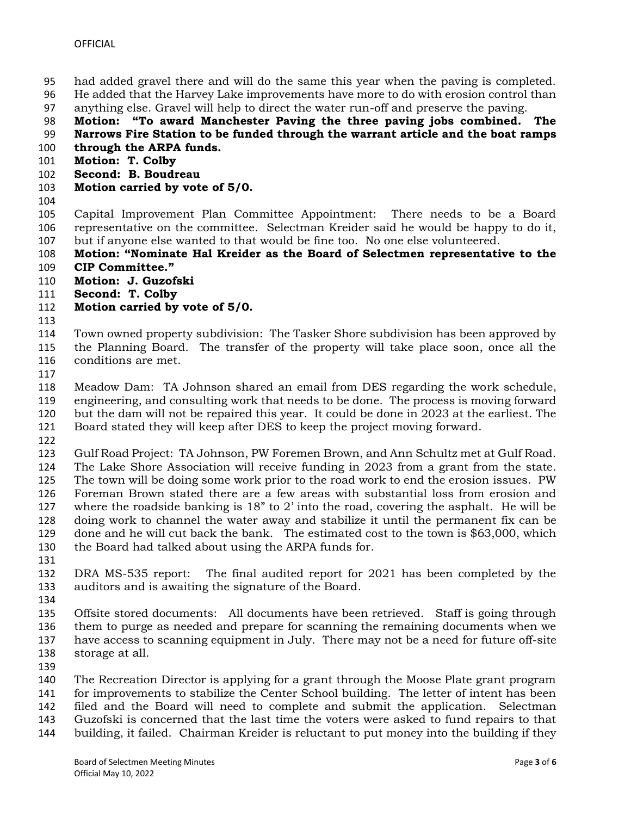- had added gravel there and will do the same this year when the paving is completed.
- He added that the Harvey Lake improvements have more to do with erosion control than
- anything else. Gravel will help to direct the water run-off and preserve the paving.
- **Motion: "To award Manchester Paving the three paving jobs combined. The**

# **Narrows Fire Station to be funded through the warrant article and the boat ramps**

- **through the ARPA funds.**
- **Motion: T. Colby**
- **Second: B. Boudreau**
- **Motion carried by vote of 5/0.**
- 

 Capital Improvement Plan Committee Appointment: There needs to be a Board representative on the committee. Selectman Kreider said he would be happy to do it, but if anyone else wanted to that would be fine too. No one else volunteered.

 **Motion: "Nominate Hal Kreider as the Board of Selectmen representative to the CIP Committee."**

- **Motion: J. Guzofski**
- **Second: T. Colby**
- **Motion carried by vote of 5/0.**
- 

 Town owned property subdivision: The Tasker Shore subdivision has been approved by the Planning Board. The transfer of the property will take place soon, once all the conditions are met.

 Meadow Dam: TA Johnson shared an email from DES regarding the work schedule, engineering, and consulting work that needs to be done. The process is moving forward but the dam will not be repaired this year. It could be done in 2023 at the earliest. The Board stated they will keep after DES to keep the project moving forward.

 Gulf Road Project: TA Johnson, PW Foremen Brown, and Ann Schultz met at Gulf Road. The Lake Shore Association will receive funding in 2023 from a grant from the state. The town will be doing some work prior to the road work to end the erosion issues. PW Foreman Brown stated there are a few areas with substantial loss from erosion and where the roadside banking is 18" to 2' into the road, covering the asphalt. He will be doing work to channel the water away and stabilize it until the permanent fix can be done and he will cut back the bank. The estimated cost to the town is \$63,000, which the Board had talked about using the ARPA funds for.

 DRA MS-535 report: The final audited report for 2021 has been completed by the auditors and is awaiting the signature of the Board.

 Offsite stored documents: All documents have been retrieved. Staff is going through them to purge as needed and prepare for scanning the remaining documents when we have access to scanning equipment in July. There may not be a need for future off-site storage at all.

 The Recreation Director is applying for a grant through the Moose Plate grant program for improvements to stabilize the Center School building. The letter of intent has been filed and the Board will need to complete and submit the application. Selectman Guzofski is concerned that the last time the voters were asked to fund repairs to that

building, it failed. Chairman Kreider is reluctant to put money into the building if they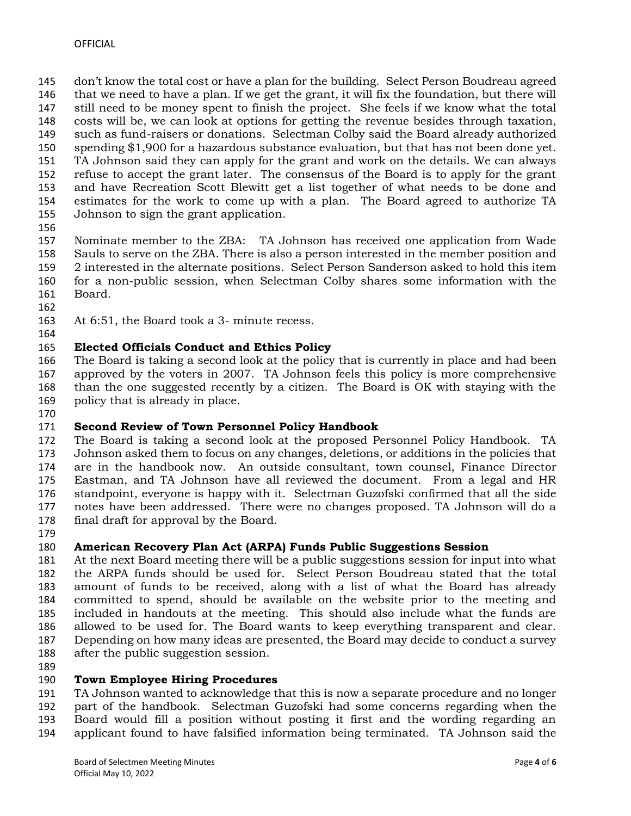don't know the total cost or have a plan for the building. Select Person Boudreau agreed that we need to have a plan. If we get the grant, it will fix the foundation, but there will still need to be money spent to finish the project. She feels if we know what the total costs will be, we can look at options for getting the revenue besides through taxation, such as fund-raisers or donations. Selectman Colby said the Board already authorized spending \$1,900 for a hazardous substance evaluation, but that has not been done yet. TA Johnson said they can apply for the grant and work on the details. We can always refuse to accept the grant later. The consensus of the Board is to apply for the grant and have Recreation Scott Blewitt get a list together of what needs to be done and estimates for the work to come up with a plan. The Board agreed to authorize TA Johnson to sign the grant application.

 Nominate member to the ZBA: TA Johnson has received one application from Wade Sauls to serve on the ZBA. There is also a person interested in the member position and 2 interested in the alternate positions. Select Person Sanderson asked to hold this item for a non-public session, when Selectman Colby shares some information with the Board.

At 6:51, the Board took a 3- minute recess.

#### **Elected Officials Conduct and Ethics Policy**

 The Board is taking a second look at the policy that is currently in place and had been approved by the voters in 2007. TA Johnson feels this policy is more comprehensive than the one suggested recently by a citizen. The Board is OK with staying with the policy that is already in place.

# **Second Review of Town Personnel Policy Handbook**

 The Board is taking a second look at the proposed Personnel Policy Handbook. TA Johnson asked them to focus on any changes, deletions, or additions in the policies that are in the handbook now. An outside consultant, town counsel, Finance Director Eastman, and TA Johnson have all reviewed the document. From a legal and HR standpoint, everyone is happy with it. Selectman Guzofski confirmed that all the side notes have been addressed. There were no changes proposed. TA Johnson will do a final draft for approval by the Board.

### **American Recovery Plan Act (ARPA) Funds Public Suggestions Session**

 At the next Board meeting there will be a public suggestions session for input into what the ARPA funds should be used for. Select Person Boudreau stated that the total amount of funds to be received, along with a list of what the Board has already committed to spend, should be available on the website prior to the meeting and included in handouts at the meeting. This should also include what the funds are allowed to be used for. The Board wants to keep everything transparent and clear. Depending on how many ideas are presented, the Board may decide to conduct a survey after the public suggestion session.

### **Town Employee Hiring Procedures**

 TA Johnson wanted to acknowledge that this is now a separate procedure and no longer part of the handbook. Selectman Guzofski had some concerns regarding when the Board would fill a position without posting it first and the wording regarding an applicant found to have falsified information being terminated. TA Johnson said the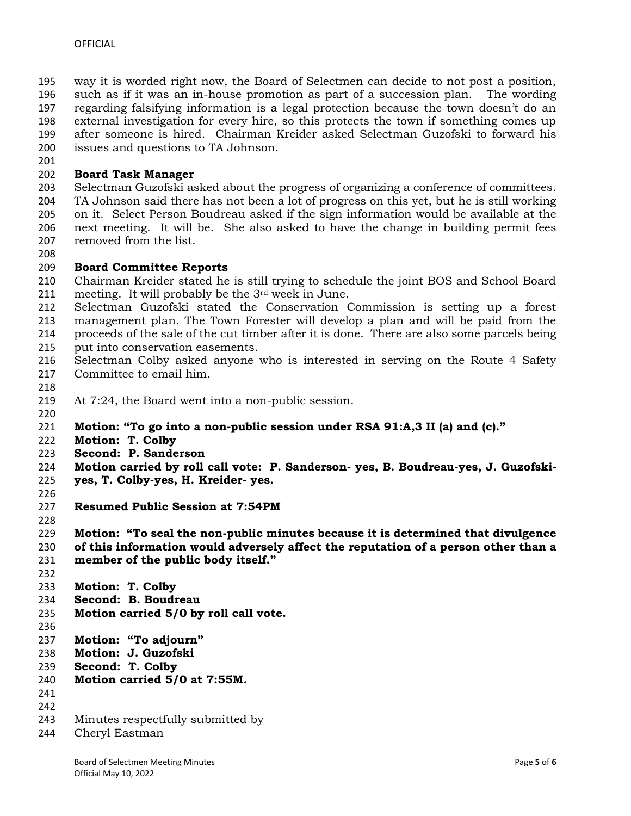way it is worded right now, the Board of Selectmen can decide to not post a position, such as if it was an in-house promotion as part of a succession plan. The wording regarding falsifying information is a legal protection because the town doesn't do an external investigation for every hire, so this protects the town if something comes up after someone is hired. Chairman Kreider asked Selectman Guzofski to forward his issues and questions to TA Johnson.

## **Board Task Manager**

 Selectman Guzofski asked about the progress of organizing a conference of committees. TA Johnson said there has not been a lot of progress on this yet, but he is still working on it. Select Person Boudreau asked if the sign information would be available at the next meeting. It will be. She also asked to have the change in building permit fees removed from the list.

## **Board Committee Reports**

- Chairman Kreider stated he is still trying to schedule the joint BOS and School Board meeting. It will probably be the 3rd week in June.
- Selectman Guzofski stated the Conservation Commission is setting up a forest management plan. The Town Forester will develop a plan and will be paid from the proceeds of the sale of the cut timber after it is done. There are also some parcels being
- put into conservation easements.
- Selectman Colby asked anyone who is interested in serving on the Route 4 Safety Committee to email him.
- 
- At 7:24, the Board went into a non-public session.
- 
- **Motion: "To go into a non-public session under RSA 91:A,3 II (a) and (c)."**
- **Motion: T. Colby**
- **Second: P. Sanderson**
- **Motion carried by roll call vote: P. Sanderson- yes, B. Boudreau-yes, J. Guzofski-**
- **yes, T. Colby-yes, H. Kreider- yes.**
- 
- **Resumed Public Session at 7:54PM**
- 

**Motion: "To seal the non-public minutes because it is determined that divulgence** 

- **of this information would adversely affect the reputation of a person other than a member of the public body itself."**
- 
- **Motion: T. Colby**
- **Second: B. Boudreau**
- **Motion carried 5/0 by roll call vote.**
- 
- **Motion: "To adjourn"**
- **Motion: J. Guzofski**
- **Second: T. Colby**
- **Motion carried 5/0 at 7:55M.**
- 
- 
- Minutes respectfully submitted by
- Cheryl Eastman